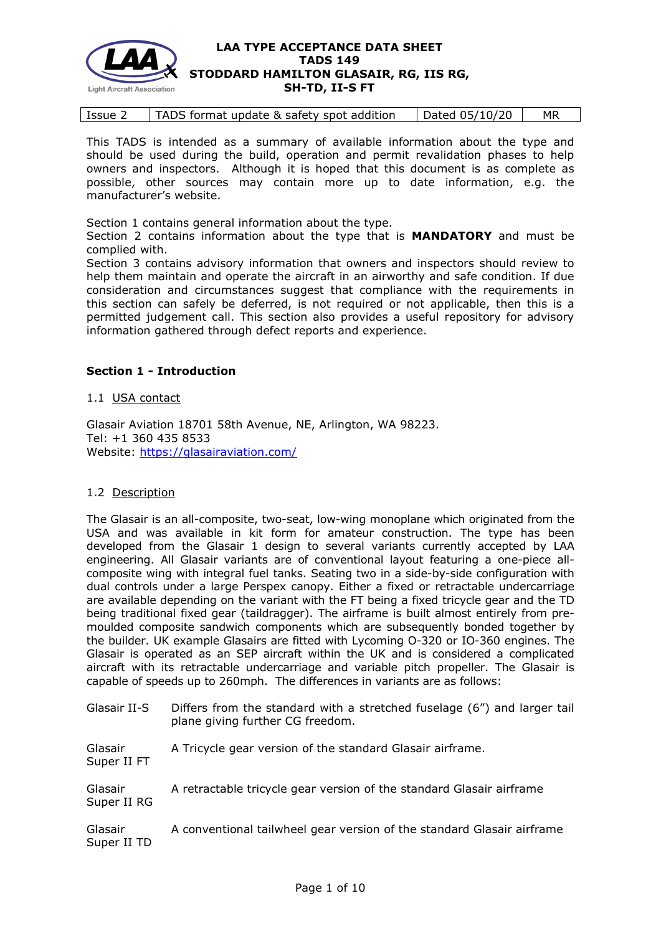

This TADS is intended as a summary of available information about the type and should be used during the build, operation and permit revalidation phases to help owners and inspectors. Although it is hoped that this document is as complete as possible, other sources may contain more up to date information, e.g. the manufacturer's website.

Section 1 contains general information about the type.

Section 2 contains information about the type that is **MANDATORY** and must be complied with.

Section 3 contains advisory information that owners and inspectors should review to help them maintain and operate the aircraft in an airworthy and safe condition. If due consideration and circumstances suggest that compliance with the requirements in this section can safely be deferred, is not required or not applicable, then this is a permitted judgement call. This section also provides a useful repository for advisory information gathered through defect reports and experience.

# **Section 1 - Introduction**

## 1.1 USA contact

Glasair Aviation 18701 58th Avenue, NE, Arlington, WA 98223. Tel: +1 360 435 8533 Website: <https://glasairaviation.com/>

## 1.2 Description

The Glasair is an all-composite, two-seat, low-wing monoplane which originated from the USA and was available in kit form for amateur construction. The type has been developed from the Glasair 1 design to several variants currently accepted by LAA engineering. All Glasair variants are of conventional layout featuring a one-piece allcomposite wing with integral fuel tanks. Seating two in a side-by-side configuration with dual controls under a large Perspex canopy. Either a fixed or retractable undercarriage are available depending on the variant with the FT being a fixed tricycle gear and the TD being traditional fixed gear (taildragger). The airframe is built almost entirely from premoulded composite sandwich components which are subsequently bonded together by the builder. UK example Glasairs are fitted with Lycoming O-320 or IO-360 engines. The Glasair is operated as an SEP aircraft within the UK and is considered a complicated aircraft with its retractable undercarriage and variable pitch propeller. The Glasair is capable of speeds up to 260mph. The differences in variants are as follows:

| Glasair II-S           | Differs from the standard with a stretched fuselage (6") and larger tail<br>plane giving further CG freedom. |
|------------------------|--------------------------------------------------------------------------------------------------------------|
| Glasair<br>Super II FT | A Tricycle gear version of the standard Glasair airframe.                                                    |
| Glasair<br>Super II RG | A retractable tricycle gear version of the standard Glasair airframe                                         |
| Glasair<br>Super II TD | A conventional tailwheel gear version of the standard Glasair airframe                                       |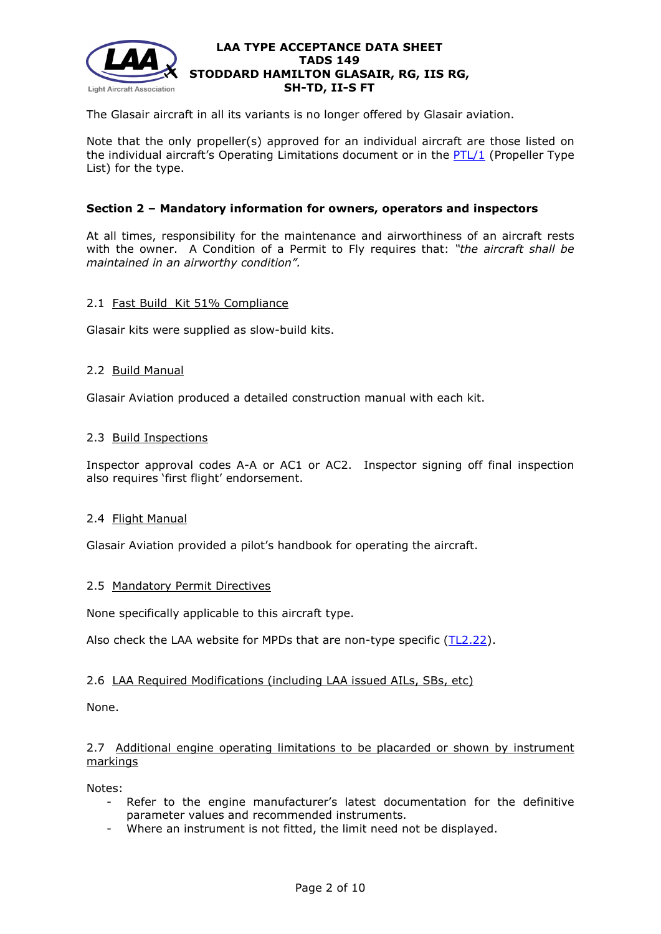

The Glasair aircraft in all its variants is no longer offered by Glasair aviation.

Note that the only propeller(s) approved for an individual aircraft are those listed on the individual aircraft's Operating Limitations document or in the [PTL/1](http://www.lightaircraftassociation.co.uk/engineering/NewMods/PTL.html) (Propeller Type List) for the type.

## **Section 2 – Mandatory information for owners, operators and inspectors**

At all times, responsibility for the maintenance and airworthiness of an aircraft rests with the owner. A Condition of a Permit to Fly requires that: *"the aircraft shall be maintained in an airworthy condition".* 

## 2.1 Fast Build Kit 51% Compliance

Glasair kits were supplied as slow-build kits.

## 2.2 Build Manual

Glasair Aviation produced a detailed construction manual with each kit.

#### 2.3 Build Inspections

Inspector approval codes A-A or AC1 or AC2. Inspector signing off final inspection also requires 'first flight' endorsement.

#### 2.4 Flight Manual

Glasair Aviation provided a pilot's handbook for operating the aircraft.

#### 2.5 Mandatory Permit Directives

None specifically applicable to this aircraft type.

Also check the LAA website for MPDs that are non-type specific [\(TL2.22\)](http://www.lightaircraftassociation.co.uk/engineering/TechnicalLeaflets/Operating%20An%20Aircraft/TL%202.22%20non-type%20specific%20MPDs.pdf).

## 2.6 LAA Required Modifications (including LAA issued AILs, SBs, etc)

None.

## 2.7 Additional engine operating limitations to be placarded or shown by instrument markings

Notes:

- Refer to the engine manufacturer's latest documentation for the definitive parameter values and recommended instruments.
- Where an instrument is not fitted, the limit need not be displayed.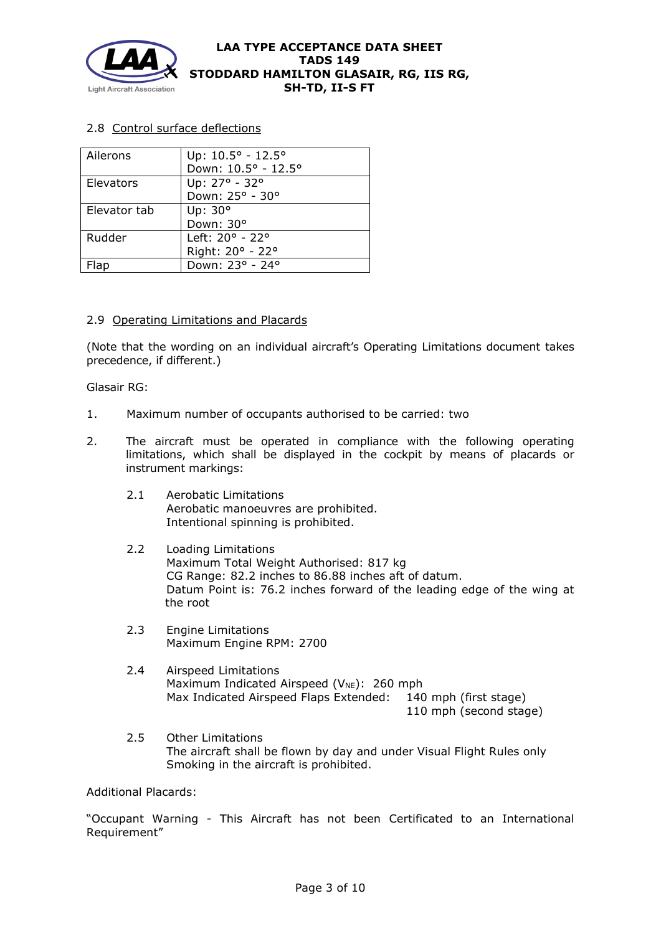

# 2.8 Control surface deflections

| Ailerons     | Up: $10.5^{\circ}$ - 12.5 $^{\circ}$ |
|--------------|--------------------------------------|
|              | Down: 10.5° - 12.5°                  |
| Elevators    | Up: 27° - 32°                        |
|              | Down: 25° - 30°                      |
| Elevator tab | Up: 30°                              |
|              | Down: 30°                            |
| Rudder       | Left: $20^{\circ}$ - $22^{\circ}$    |
|              | Right: 20° - 22°                     |
|              | Down: 23° - 24°                      |

# 2.9 Operating Limitations and Placards

(Note that the wording on an individual aircraft's Operating Limitations document takes precedence, if different.)

Glasair RG:

- 1. Maximum number of occupants authorised to be carried: two
- 2. The aircraft must be operated in compliance with the following operating limitations, which shall be displayed in the cockpit by means of placards or instrument markings:
	- 2.1 Aerobatic Limitations Aerobatic manoeuvres are prohibited. Intentional spinning is prohibited.
	- 2.2 Loading Limitations Maximum Total Weight Authorised: 817 kg CG Range: 82.2 inches to 86.88 inches aft of datum. Datum Point is: 76.2 inches forward of the leading edge of the wing at the root
	- 2.3 Engine Limitations Maximum Engine RPM: 2700
	- 2.4 Airspeed Limitations Maximum Indicated Airspeed ( $V_{NE}$ ): 260 mph Max Indicated Airspeed Flaps Extended: 140 mph (first stage) 110 mph (second stage)
	- 2.5 Other Limitations The aircraft shall be flown by day and under Visual Flight Rules only Smoking in the aircraft is prohibited.

Additional Placards:

"Occupant Warning - This Aircraft has not been Certificated to an International Requirement"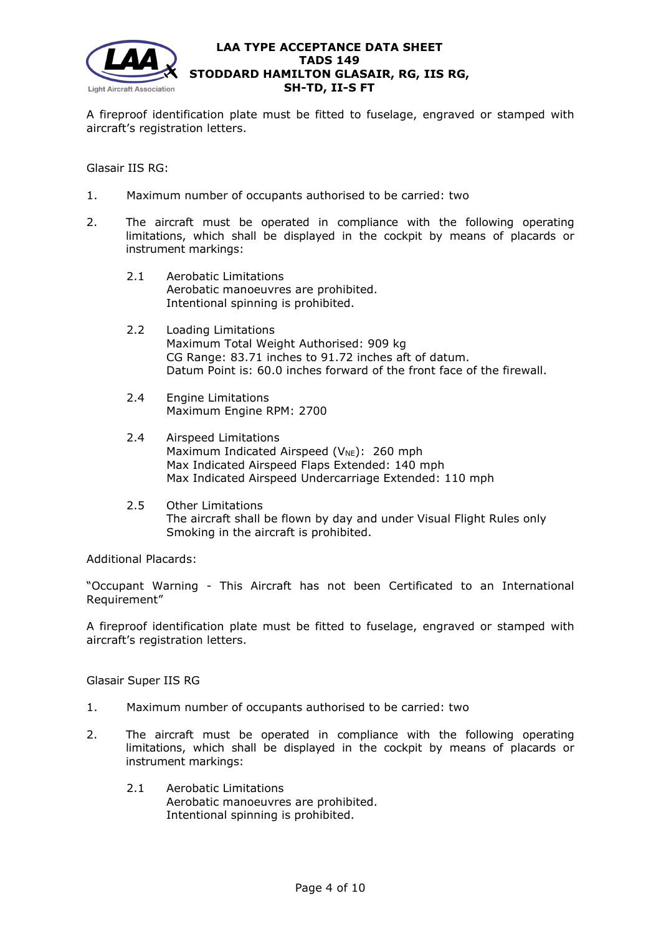

A fireproof identification plate must be fitted to fuselage, engraved or stamped with aircraft's registration letters.

Glasair IIS RG:

- 1. Maximum number of occupants authorised to be carried: two
- 2. The aircraft must be operated in compliance with the following operating limitations, which shall be displayed in the cockpit by means of placards or instrument markings:
	- 2.1 Aerobatic Limitations Aerobatic manoeuvres are prohibited. Intentional spinning is prohibited.
	- 2.2 Loading Limitations Maximum Total Weight Authorised: 909 kg CG Range: 83.71 inches to 91.72 inches aft of datum. Datum Point is: 60.0 inches forward of the front face of the firewall.
	- 2.4 Engine Limitations Maximum Engine RPM: 2700
	- 2.4 Airspeed Limitations Maximum Indicated Airspeed ( $V_{NE}$ ): 260 mph Max Indicated Airspeed Flaps Extended: 140 mph Max Indicated Airspeed Undercarriage Extended: 110 mph
	- 2.5 Other Limitations The aircraft shall be flown by day and under Visual Flight Rules only Smoking in the aircraft is prohibited.

Additional Placards:

"Occupant Warning - This Aircraft has not been Certificated to an International Requirement"

A fireproof identification plate must be fitted to fuselage, engraved or stamped with aircraft's registration letters.

Glasair Super IIS RG

- 1. Maximum number of occupants authorised to be carried: two
- 2. The aircraft must be operated in compliance with the following operating limitations, which shall be displayed in the cockpit by means of placards or instrument markings:
	- 2.1 Aerobatic Limitations Aerobatic manoeuvres are prohibited. Intentional spinning is prohibited.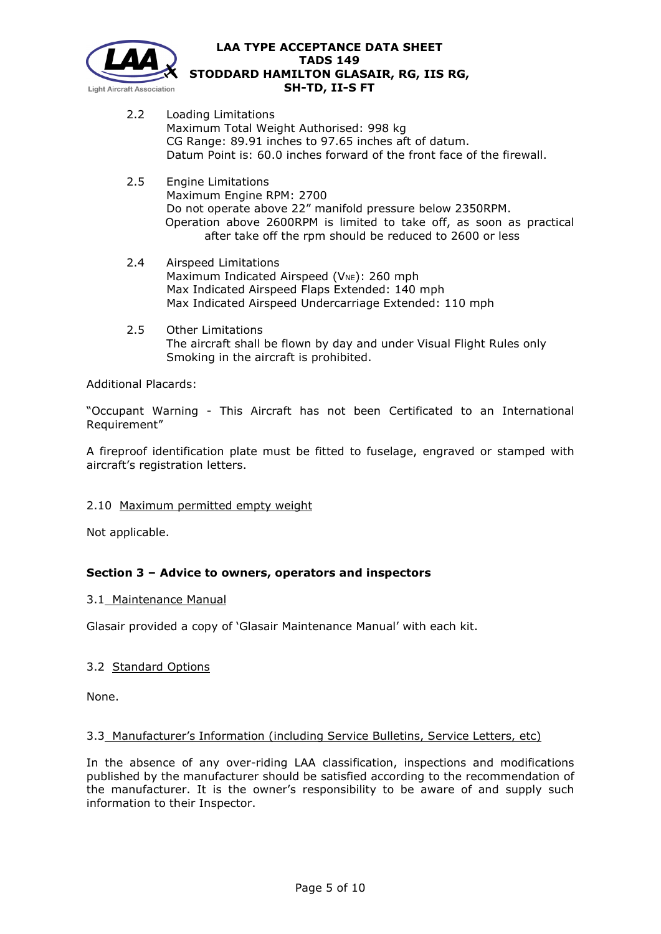

- 2.2 Loading Limitations Maximum Total Weight Authorised: 998 kg CG Range: 89.91 inches to 97.65 inches aft of datum. Datum Point is: 60.0 inches forward of the front face of the firewall.
- 2.5 Engine Limitations Maximum Engine RPM: 2700 Do not operate above 22" manifold pressure below 2350RPM. Operation above 2600RPM is limited to take off, as soon as practical after take off the rpm should be reduced to 2600 or less
- 2.4 Airspeed Limitations Maximum Indicated Airspeed ( $V_{NE}$ ): 260 mph Max Indicated Airspeed Flaps Extended: 140 mph Max Indicated Airspeed Undercarriage Extended: 110 mph
- 2.5 Other Limitations The aircraft shall be flown by day and under Visual Flight Rules only Smoking in the aircraft is prohibited.

Additional Placards:

"Occupant Warning - This Aircraft has not been Certificated to an International Requirement"

A fireproof identification plate must be fitted to fuselage, engraved or stamped with aircraft's registration letters.

## 2.10 Maximum permitted empty weight

Not applicable.

# **Section 3 – Advice to owners, operators and inspectors**

## 3.1 Maintenance Manual

Glasair provided a copy of 'Glasair Maintenance Manual' with each kit.

# 3.2 Standard Options

None.

## 3.3 Manufacturer's Information (including Service Bulletins, Service Letters, etc)

In the absence of any over-riding LAA classification, inspections and modifications published by the manufacturer should be satisfied according to the recommendation of the manufacturer. It is the owner's responsibility to be aware of and supply such information to their Inspector.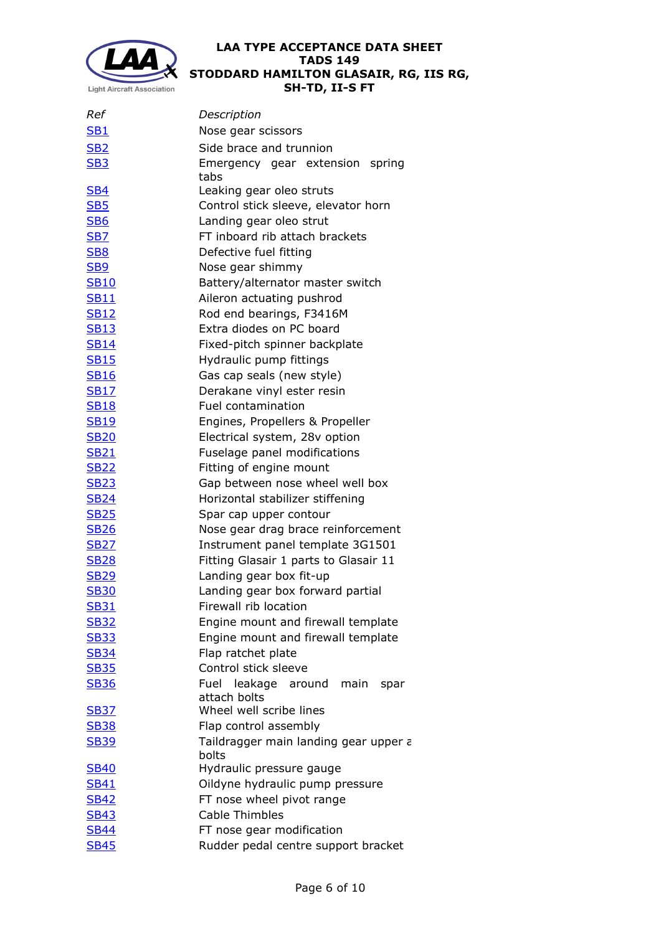

| Ref             | Description                                    |
|-----------------|------------------------------------------------|
| S <sub>B1</sub> | Nose gear scissors                             |
| SB <sub>2</sub> | Side brace and trunnion                        |
| <b>SB3</b>      | Emergency gear extension spring                |
|                 | tabs                                           |
| <b>SB4</b>      | Leaking gear oleo struts                       |
| <b>SB5</b>      | Control stick sleeve, elevator horn            |
| SB <sub>6</sub> | Landing gear oleo strut                        |
| SB <sub>7</sub> | FT inboard rib attach brackets                 |
| SB <sub>8</sub> | Defective fuel fitting                         |
| <b>SB9</b>      | Nose gear shimmy                               |
| <b>SB10</b>     | Battery/alternator master switch               |
| <b>SB11</b>     | Aileron actuating pushrod                      |
| <b>SB12</b>     | Rod end bearings, F3416M                       |
| <b>SB13</b>     | Extra diodes on PC board                       |
| <b>SB14</b>     | Fixed-pitch spinner backplate                  |
| <b>SB15</b>     | Hydraulic pump fittings                        |
| <b>SB16</b>     | Gas cap seals (new style)                      |
| <b>SB17</b>     | Derakane vinyl ester resin                     |
| <b>SB18</b>     | Fuel contamination                             |
| <b>SB19</b>     | Engines, Propellers & Propeller                |
| <b>SB20</b>     | Electrical system, 28v option                  |
| <b>SB21</b>     | Fuselage panel modifications                   |
| <b>SB22</b>     | Fitting of engine mount                        |
| <b>SB23</b>     | Gap between nose wheel well box                |
| <u>SB24</u>     | Horizontal stabilizer stiffening               |
| <b>SB25</b>     | Spar cap upper contour                         |
| <u>SB26</u>     | Nose gear drag brace reinforcement             |
| <b>SB27</b>     | Instrument panel template 3G1501               |
| <b>SB28</b>     | Fitting Glasair 1 parts to Glasair 11          |
| <b>SB29</b>     | Landing gear box fit-up                        |
| <b>SB30</b>     | Landing gear box forward partial               |
| <b>SB31</b>     | Firewall rib location                          |
| <b>SB32</b>     | Engine mount and firewall template             |
| <b>SB33</b>     | Engine mount and firewall template             |
| <b>SB34</b>     | Flap ratchet plate                             |
| <b>SB35</b>     | Control stick sleeve                           |
| <b>SB36</b>     | Fuel leakage around<br>main<br>spar            |
|                 | attach bolts<br>Wheel well scribe lines        |
| <b>SB37</b>     |                                                |
| <b>SB38</b>     | Flap control assembly                          |
| <b>SB39</b>     | Taildragger main landing gear upper a<br>bolts |
| <b>SB40</b>     | Hydraulic pressure gauge                       |
| <b>SB41</b>     | Oildyne hydraulic pump pressure                |
| <b>SB42</b>     | FT nose wheel pivot range                      |
| <b>SB43</b>     | <b>Cable Thimbles</b>                          |
| <b>SB44</b>     | FT nose gear modification                      |
| <b>SB45</b>     | Rudder pedal centre support bracket            |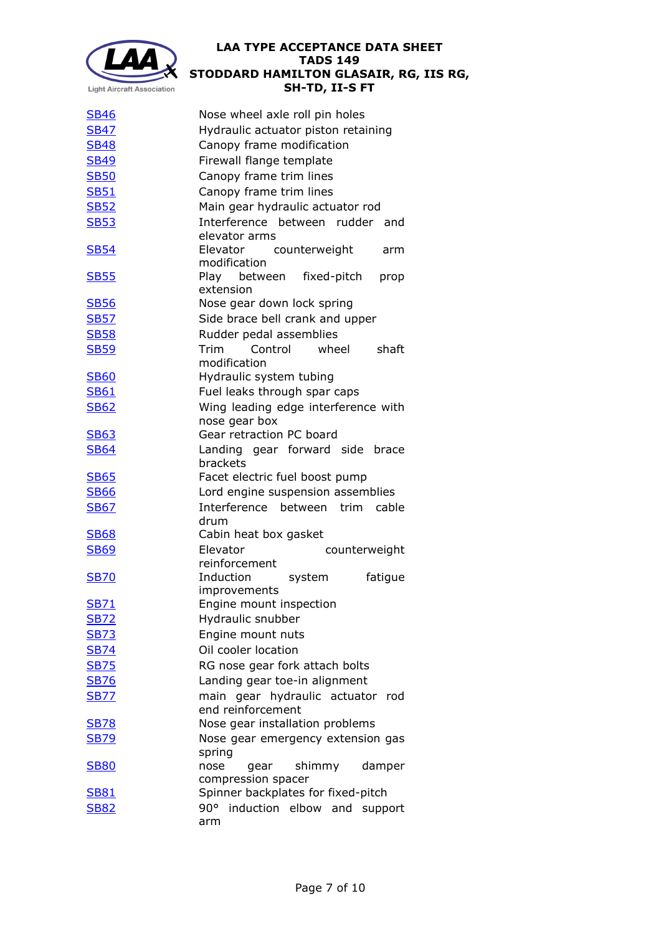

| <b>SB46</b> | Nose wheel axle roll pin holes           |
|-------------|------------------------------------------|
| <b>SB47</b> | Hydraulic actuator piston retaining      |
| <b>SB48</b> | Canopy frame modification                |
| <b>SB49</b> | Firewall flange template                 |
| <b>SB50</b> | Canopy frame trim lines                  |
| <b>SB51</b> | Canopy frame trim lines                  |
| <b>SB52</b> | Main gear hydraulic actuator rod         |
| <b>SB53</b> | Interference between rudder and          |
|             | elevator arms                            |
| <b>SB54</b> | Elevator<br>counterweight<br>arm         |
| <b>SB55</b> | modification<br>Play between fixed-pitch |
|             | prop<br>extension                        |
| <b>SB56</b> | Nose gear down lock spring               |
| <b>SB57</b> | Side brace bell crank and upper          |
| <b>SB58</b> | Rudder pedal assemblies                  |
| <b>SB59</b> | Trim<br>Control wheel<br>shaft           |
|             | modification                             |
| <b>SB60</b> | Hydraulic system tubing                  |
| <b>SB61</b> | Fuel leaks through spar caps             |
| <b>SB62</b> | Wing leading edge interference with      |
|             | nose gear box                            |
| <b>SB63</b> | Gear retraction PC board                 |
| <u>SB64</u> | Landing gear forward side brace          |
|             | brackets                                 |
| <b>SB65</b> | Facet electric fuel boost pump           |
| <b>SB66</b> | Lord engine suspension assemblies        |
| <b>SB67</b> | Interference between trim cable          |
|             | drum                                     |
| <b>SB68</b> | Cabin heat box gasket                    |
| <b>SB69</b> | Elevator<br>counterweight                |
|             | reinforcement<br>Induction               |
| <u>SB70</u> | system<br>fatigue<br>improvements        |
| <b>SB71</b> | Engine mount inspection                  |
| <b>SB72</b> | Hydraulic snubber                        |
| <b>SB73</b> | Engine mount nuts                        |
| <b>SB74</b> | Oil cooler location                      |
| <b>SB75</b> | RG nose gear fork attach bolts           |
| <b>SB76</b> | Landing gear toe-in alignment            |
| <b>SB77</b> | main gear hydraulic actuator rod         |
|             | end reinforcement                        |
| <b>SB78</b> | Nose gear installation problems          |
| <b>SB79</b> | Nose gear emergency extension gas        |
|             | spring                                   |
| <u>SB80</u> | shimmy<br>nose<br>gear<br>damper         |
|             | compression spacer                       |
| <b>SB81</b> | Spinner backplates for fixed-pitch       |
| <u>SB82</u> | 90° induction elbow and support          |
|             | arm                                      |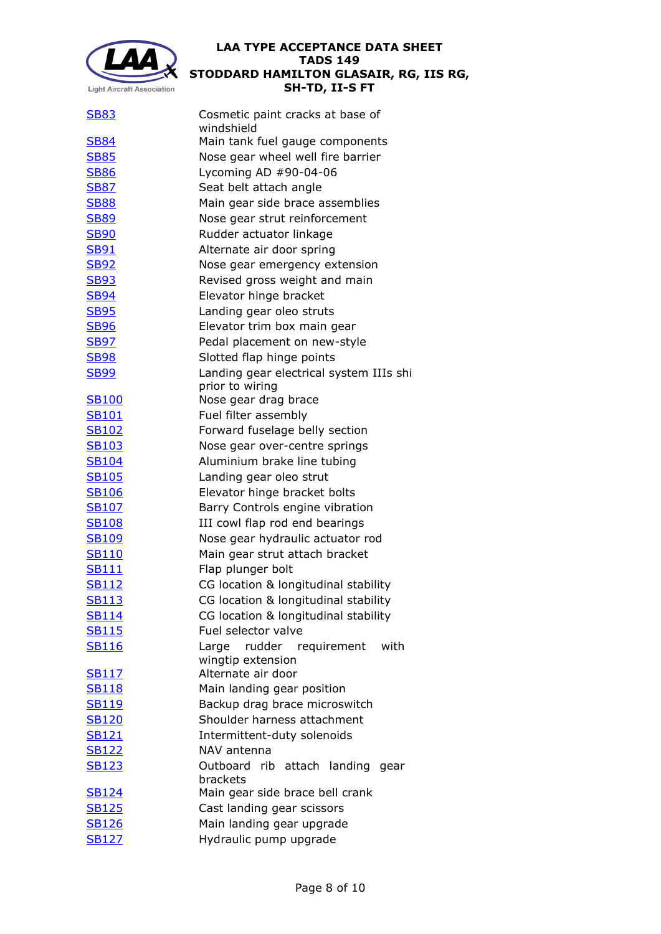

| <b>SB83</b>  | Cosmetic paint cracks at base of<br>windshield  |
|--------------|-------------------------------------------------|
| <b>SB84</b>  | Main tank fuel gauge components                 |
| <b>SB85</b>  | Nose gear wheel well fire barrier               |
| <b>SB86</b>  | Lycoming AD #90-04-06                           |
| <b>SB87</b>  | Seat belt attach angle                          |
| <b>SB88</b>  | Main gear side brace assemblies                 |
| <b>SB89</b>  | Nose gear strut reinforcement                   |
| <b>SB90</b>  | Rudder actuator linkage                         |
| <b>SB91</b>  | Alternate air door spring                       |
|              |                                                 |
| <u>SB92</u>  | Nose gear emergency extension                   |
| <b>SB93</b>  | Revised gross weight and main                   |
| <b>SB94</b>  | Elevator hinge bracket                          |
| <b>SB95</b>  | Landing gear oleo struts                        |
| <b>SB96</b>  | Elevator trim box main gear                     |
| <b>SB97</b>  | Pedal placement on new-style                    |
| <b>SB98</b>  | Slotted flap hinge points                       |
| <b>SB99</b>  | Landing gear electrical system IIIs shi         |
|              | prior to wiring                                 |
| <b>SB100</b> | Nose gear drag brace                            |
| <b>SB101</b> | Fuel filter assembly                            |
| <b>SB102</b> | Forward fuselage belly section                  |
| <b>SB103</b> | Nose gear over-centre springs                   |
| <b>SB104</b> | Aluminium brake line tubing                     |
| <b>SB105</b> | Landing gear oleo strut                         |
| <b>SB106</b> | Elevator hinge bracket bolts                    |
| <b>SB107</b> | Barry Controls engine vibration                 |
| <b>SB108</b> | III cowl flap rod end bearings                  |
| <b>SB109</b> | Nose gear hydraulic actuator rod                |
| <b>SB110</b> | Main gear strut attach bracket                  |
| <b>SB111</b> | Flap plunger bolt                               |
| <b>SB112</b> | CG location & longitudinal stability            |
| <b>SB113</b> | CG location & longitudinal stability            |
| <u>SB114</u> | CG location & longitudinal stability            |
| <b>SB115</b> | Fuel selector valve                             |
| <b>SB116</b> | rudder requirement<br>with<br>Large             |
|              | wingtip extension                               |
| <b>SB117</b> | Alternate air door                              |
| <b>SB118</b> | Main landing gear position                      |
| <b>SB119</b> | Backup drag brace microswitch                   |
| <b>SB120</b> | Shoulder harness attachment                     |
| <b>SB121</b> | Intermittent-duty solenoids                     |
| <b>SB122</b> | NAV antenna                                     |
| <u>SB123</u> | Outboard rib attach landing<br>gear<br>brackets |
| <u>SB124</u> | Main gear side brace bell crank                 |
| <b>SB125</b> | Cast landing gear scissors                      |
| <b>SB126</b> | Main landing gear upgrade                       |
| <b>SB127</b> | Hydraulic pump upgrade                          |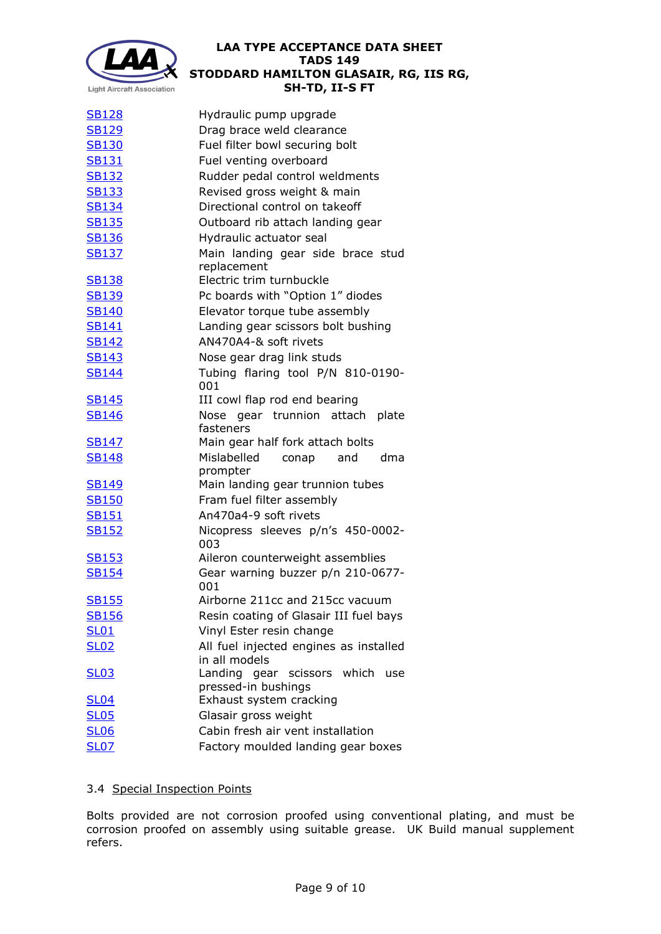

| <b>SB128</b> | Hydraulic pump upgrade                                       |
|--------------|--------------------------------------------------------------|
| <b>SB129</b> | Drag brace weld clearance                                    |
| <b>SB130</b> | Fuel filter bowl securing bolt                               |
| <b>SB131</b> | Fuel venting overboard                                       |
| <b>SB132</b> | Rudder pedal control weldments                               |
| <b>SB133</b> | Revised gross weight & main                                  |
| <b>SB134</b> | Directional control on takeoff                               |
| <b>SB135</b> | Outboard rib attach landing gear                             |
| <b>SB136</b> | Hydraulic actuator seal                                      |
| <b>SB137</b> | Main landing gear side brace stud<br>replacement             |
| <u>SB138</u> | Electric trim turnbuckle                                     |
| <b>SB139</b> | Pc boards with "Option 1" diodes                             |
| <b>SB140</b> | Elevator torque tube assembly                                |
| <b>SB141</b> | Landing gear scissors bolt bushing                           |
| <b>SB142</b> | AN470A4-& soft rivets                                        |
| <b>SB143</b> | Nose gear drag link studs                                    |
| <b>SB144</b> | Tubing flaring tool P/N 810-0190-<br>001                     |
| <b>SB145</b> | III cowl flap rod end bearing                                |
| <b>SB146</b> | Nose gear trunnion attach plate<br>fasteners                 |
| <b>SB147</b> | Main gear half fork attach bolts                             |
| <b>SB148</b> | Mislabelled<br>and<br>dma<br>conap                           |
|              | prompter                                                     |
| <b>SB149</b> | Main landing gear trunnion tubes                             |
| <b>SB150</b> | Fram fuel filter assembly                                    |
| <b>SB151</b> | An470a4-9 soft rivets                                        |
| <b>SB152</b> | Nicopress sleeves p/n's 450-0002-<br>003                     |
| <b>SB153</b> | Aileron counterweight assemblies                             |
| <b>SB154</b> | Gear warning buzzer p/n 210-0677-<br>001                     |
| <b>SB155</b> | Airborne 211cc and 215cc vacuum                              |
| <b>SB156</b> | Resin coating of Glasair III fuel bays                       |
| <b>SL01</b>  | Vinyl Ester resin change                                     |
| <b>SL02</b>  | All fuel injected engines as installed<br>in all models      |
| <u>SL03</u>  | Landing gear scissors<br>which<br>use<br>pressed-in bushings |
| <b>SL04</b>  | Exhaust system cracking                                      |
| <b>SL05</b>  | Glasair gross weight                                         |
| <u>SL06</u>  | Cabin fresh air vent installation                            |
| <b>SL07</b>  | Factory moulded landing gear boxes                           |
|              |                                                              |

# 3.4 Special Inspection Points

Bolts provided are not corrosion proofed using conventional plating, and must be corrosion proofed on assembly using suitable grease. UK Build manual supplement refers.